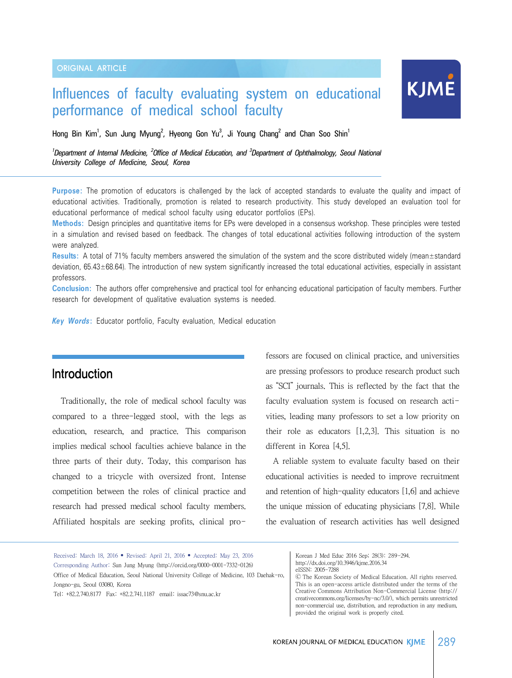# Influences of faculty evaluating system on educational performance of medical school faculty

Hong Bin Kim<sup>1</sup>, Sun Jung Myung<sup>2</sup>, Hyeong Gon Yu<sup>3</sup>, Ji Young Chang<sup>2</sup> and Chan Soo Shin<sup>1</sup>

<sup>1</sup>Department of Internal Medicine, <sup>2</sup>Office of Medical Education, and <sup>3</sup>Department of Ophthalmology, Seoul National *University College of Medicine, Seoul, Korea*

**Purpose:** The promotion of educators is challenged by the lack of accepted standards to evaluate the quality and impact of educational activities. Traditionally, promotion is related to research productivity. This study developed an evaluation tool for educational performance of medical school faculty using educator portfolios (EPs).

**Methods:** Design principles and quantitative items for EPs were developed in a consensus workshop. These principles were tested in a simulation and revised based on feedback. The changes of total educational activities following introduction of the system were analyzed.

**Results:** A total of 71% faculty members answered the simulation of the system and the score distributed widely (mean±standard deviation, 65.43±68.64). The introduction of new system significantly increased the total educational activities, especially in assistant professors.

**Conclusion:** The authors offer comprehensive and practical tool for enhancing educational participation of faculty members. Further research for development of qualitative evaluation systems is needed.

*Key Words***:** Educator portfolio, Faculty evaluation, Medical education

### Introduction

Traditionally, the role of medical school faculty was compared to a three-legged stool, with the legs as education, research, and practice. This comparison implies medical school faculties achieve balance in the three parts of their duty. Today, this comparison has changed to a tricycle with oversized front. Intense competition between the roles of clinical practice and research had pressed medical school faculty members. Affiliated hospitals are seeking profits, clinical pro-

fessors are focused on clinical practice, and universities are pressing professors to produce research product such as "SCI" journals. This is reflected by the fact that the faculty evaluation system is focused on research activities, leading many professors to set a low priority on their role as educators [1,2,3]. This situation is no different in Korea [4,5].

KJME

 A reliable system to evaluate faculty based on their educational activities is needed to improve recruitment and retention of high-quality educators [1,6] and achieve the unique mission of educating physicians [7,8]. While the evaluation of research activities has well designed

Received: March 18, 2016 • Revised: April 21, 2016 • Accepted: May 23, 2016 Corresponding Author: Sun Jung Myung (http://orcid.org/0000-0001-7332-0126) Office of Medical Education, Seoul National University College of Medicine, 103 Daehak-ro, Jongno-gu, Seoul 03080, Korea Tel: +82.2.740.8177 Fax: +82.2.741.1187 email: issac73@snu.ac.kr

Korean J Med Educ 2016 Sep; 28(3): 289-294. http://dx.doi.org/10.3946/kjme.2016.34 eISSN: 2005-7288

Ⓒ The Korean Society of Medical Education. All rights reserved. This is an open-access article distributed under the terms of the Creative Commons Attribution Non-Commercial License (http:// creativecommons.org/licenses/by-nc/3.0/), which permits unrestricted non-commercial use, distribution, and reproduction in any medium, provided the original work is properly cited.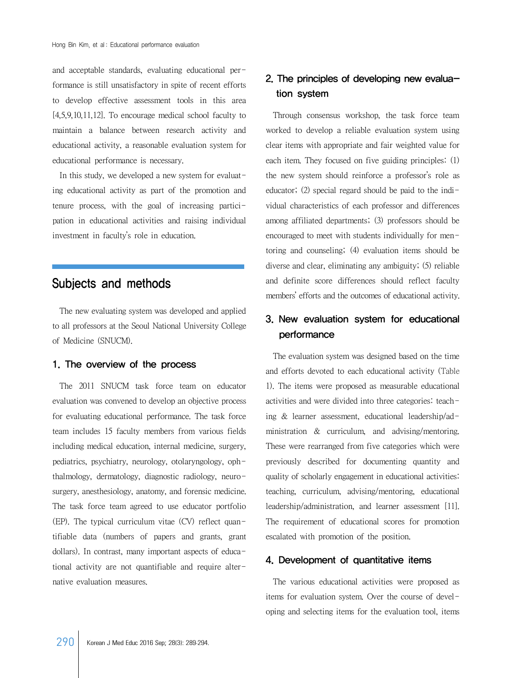and acceptable standards, evaluating educational performance is still unsatisfactory in spite of recent efforts to develop effective assessment tools in this area [4,5,9,10,11,12]. To encourage medical school faculty to maintain a balance between research activity and educational activity, a reasonable evaluation system for educational performance is necessary.

 In this study, we developed a new system for evaluating educational activity as part of the promotion and tenure process, with the goal of increasing participation in educational activities and raising individual investment in faculty's role in education.

# Subjects and methods

 The new evaluating system was developed and applied to all professors at the Seoul National University College of Medicine (SNUCM).

#### 1. The overview of the process

 The 2011 SNUCM task force team on educator evaluation was convened to develop an objective process for evaluating educational performance. The task force team includes 15 faculty members from various fields including medical education, internal medicine, surgery, pediatrics, psychiatry, neurology, otolaryngology, ophthalmology, dermatology, diagnostic radiology, neurosurgery, anesthesiology, anatomy, and forensic medicine. The task force team agreed to use educator portfolio (EP). The typical curriculum vitae (CV) reflect quantifiable data (numbers of papers and grants, grant dollars). In contrast, many important aspects of educational activity are not quantifiable and require alternative evaluation measures.

## 2. The principles of developing new evaluation system

 Through consensus workshop, the task force team worked to develop a reliable evaluation system using clear items with appropriate and fair weighted value for each item. They focused on five guiding principles: (1) the new system should reinforce a professor's role as educator; (2) special regard should be paid to the individual characteristics of each professor and differences among affiliated departments; (3) professors should be encouraged to meet with students individually for mentoring and counseling; (4) evaluation items should be diverse and clear, eliminating any ambiguity; (5) reliable and definite score differences should reflect faculty members' efforts and the outcomes of educational activity.

### 3. New evaluation system for educational performance

 The evaluation system was designed based on the time and efforts devoted to each educational activity (Table 1). The items were proposed as measurable educational activities and were divided into three categories: teaching & learner assessment, educational leadership/administration & curriculum, and advising/mentoring. These were rearranged from five categories which were previously described for documenting quantity and quality of scholarly engagement in educational activities: teaching, curriculum, advising/mentoring, educational leadership/administration, and learner assessment [11]. The requirement of educational scores for promotion escalated with promotion of the position.

#### 4. Development of quantitative items

 The various educational activities were proposed as items for evaluation system. Over the course of developing and selecting items for the evaluation tool, items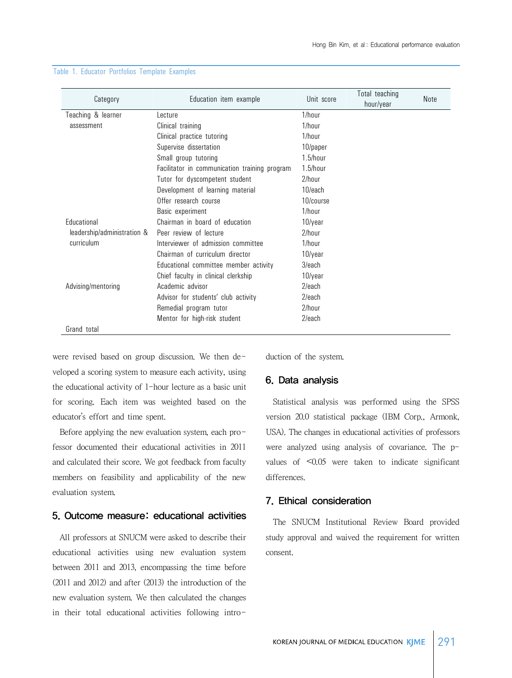| Category                    | Education item example                        | Unit score  | Total teaching<br>hour/year | Note |
|-----------------------------|-----------------------------------------------|-------------|-----------------------------|------|
| Teaching & learner          | Lecture                                       | 1/hour      |                             |      |
| assessment                  | Clinical training                             | 1/hour      |                             |      |
|                             | Clinical practice tutoring                    | 1/hour      |                             |      |
|                             | Supervise dissertation                        | 10/paper    |                             |      |
|                             | Small group tutoring                          | $1.5/h$ our |                             |      |
|                             | Facilitator in communication training program | $1.5/h$ our |                             |      |
|                             | Tutor for dyscompetent student                | $2/h$ our   |                             |      |
|                             | Development of learning material              | 10/each     |                             |      |
|                             | Offer research course                         | 10/course   |                             |      |
|                             | Basic experiment                              | 1/hour      |                             |      |
| Educational                 | Chairman in board of education                | 10/year     |                             |      |
| leadership/administration & | Peer review of lecture                        | $2/h$ our   |                             |      |
| curriculum                  | Interviewer of admission committee            | 1/hour      |                             |      |
|                             | Chairman of curriculum director               | 10/year     |                             |      |
|                             | Educational committee member activity         | 3/each      |                             |      |
|                             | Chief faculty in clinical clerkship           | 10/year     |                             |      |
| Advising/mentoring          | Academic advisor                              | $2$ /each   |                             |      |
|                             | Advisor for students' club activity           | $2$ /each   |                             |      |
|                             | Remedial program tutor                        | 2/hour      |                             |      |
|                             | Mentor for high-risk student                  | $2$ /each   |                             |      |
| Grand total                 |                                               |             |                             |      |

#### Table 1. Educator Portfolios Template Examples

were revised based on group discussion. We then developed a scoring system to measure each activity, using the educational activity of 1-hour lecture as a basic unit for scoring. Each item was weighted based on the educator's effort and time spent.

Before applying the new evaluation system, each professor documented their educational activities in 2011 and calculated their score. We got feedback from faculty members on feasibility and applicability of the new evaluation system.

#### 5. Outcome measure: educational activities

 All professors at SNUCM were asked to describe their educational activities using new evaluation system between 2011 and 2013, encompassing the time before (2011 and 2012) and after (2013) the introduction of the new evaluation system. We then calculated the changes in their total educational activities following introduction of the system.

#### 6. Data analysis

 Statistical analysis was performed using the SPSS version 20.0 statistical package (IBM Corp., Armonk, USA). The changes in educational activities of professors were analyzed using analysis of covariance. The pvalues of <0.05 were taken to indicate significant differences.

#### 7. Ethical consideration

 The SNUCM Institutional Review Board provided study approval and waived the requirement for written consent.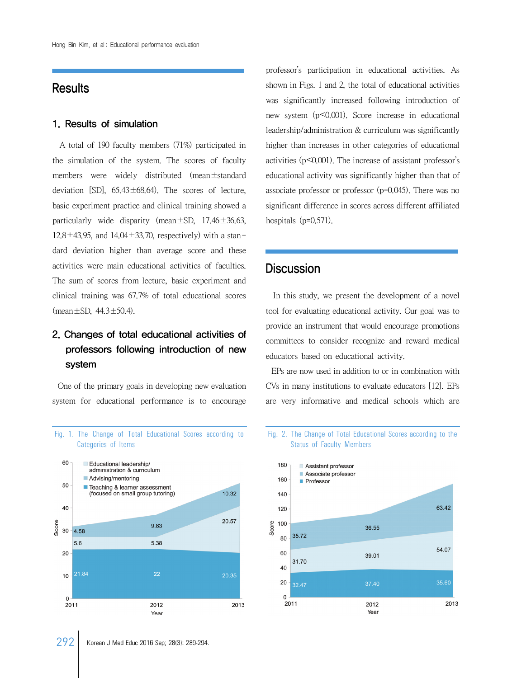## **Results**

#### 1. Results of simulation

 A total of 190 faculty members (71%) participated in the simulation of the system. The scores of faculty members were widely distributed (mean±standard deviation [SD],  $65.43 \pm 68.64$ ). The scores of lecture, basic experiment practice and clinical training showed a particularly wide disparity (mean $\pm$ SD, 17.46 $\pm$ 36.63,  $12.8 \pm 43.95$ , and  $14.04 \pm 33.70$ , respectively) with a standard deviation higher than average score and these activities were main educational activities of faculties. The sum of scores from lecture, basic experiment and clinical training was 67.7% of total educational scores  $(\text{mean} \pm \text{SD}, 44.3 \pm 50.4)$ .

# 2. Changes of total educational activities of professors following introduction of new system

 One of the primary goals in developing new evaluation system for educational performance is to encourage

Fig. 1. The Change of Total Educational Scores according to



professor's participation in educational activities. As shown in Figs. 1 and 2, the total of educational activities was significantly increased following introduction of new system (p<0.001). Score increase in educational leadership/administration & curriculum was significantly higher than increases in other categories of educational activities (p<0.001). The increase of assistant professor's educational activity was significantly higher than that of associate professor or professor (p=0.045). There was no significant difference in scores across different affiliated hospitals (p=0.571).

### **Discussion**

 In this study, we present the development of a novel tool for evaluating educational activity. Our goal was to provide an instrument that would encourage promotions committees to consider recognize and reward medical educators based on educational activity.

 EPs are now used in addition to or in combination with CVs in many institutions to evaluate educators [12]. EPs are very informative and medical schools which are

#### Fig. 2. The Change of Total Educational Scores according to the Status of Faculty Members

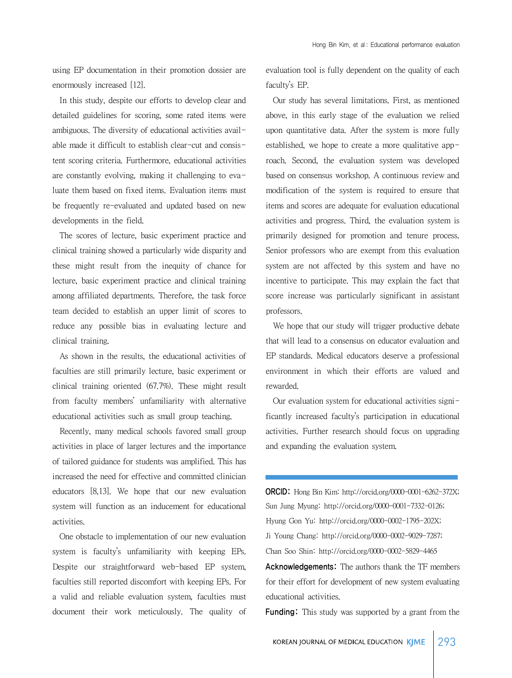using EP documentation in their promotion dossier are enormously increased [12].

 In this study, despite our efforts to develop clear and detailed guidelines for scoring, some rated items were ambiguous. The diversity of educational activities available made it difficult to establish clear-cut and consistent scoring criteria. Furthermore, educational activities are constantly evolving, making it challenging to evaluate them based on fixed items. Evaluation items must be frequently re-evaluated and updated based on new developments in the field.

 The scores of lecture, basic experiment practice and clinical training showed a particularly wide disparity and these might result from the inequity of chance for lecture, basic experiment practice and clinical training among affiliated departments. Therefore, the task force team decided to establish an upper limit of scores to reduce any possible bias in evaluating lecture and clinical training.

 As shown in the results, the educational activities of faculties are still primarily lecture, basic experiment or clinical training oriented (67.7%). These might result from faculty members' unfamiliarity with alternative educational activities such as small group teaching.

 Recently, many medical schools favored small group activities in place of larger lectures and the importance of tailored guidance for students was amplified. This has increased the need for effective and committed clinician educators [8,13]. We hope that our new evaluation system will function as an inducement for educational activities.

 One obstacle to implementation of our new evaluation system is faculty's unfamiliarity with keeping EPs. Despite our straightforward web-based EP system, faculties still reported discomfort with keeping EPs. For a valid and reliable evaluation system, faculties must document their work meticulously. The quality of evaluation tool is fully dependent on the quality of each faculty's EP.

 Our study has several limitations. First, as mentioned above, in this early stage of the evaluation we relied upon quantitative data. After the system is more fully established, we hope to create a more qualitative approach. Second, the evaluation system was developed based on consensus workshop. A continuous review and modification of the system is required to ensure that items and scores are adequate for evaluation educational activities and progress. Third, the evaluation system is primarily designed for promotion and tenure process. Senior professors who are exempt from this evaluation system are not affected by this system and have no incentive to participate. This may explain the fact that score increase was particularly significant in assistant professors.

We hope that our study will trigger productive debate that will lead to a consensus on educator evaluation and EP standards. Medical educators deserve a professional environment in which their efforts are valued and rewarded.

 Our evaluation system for educational activities significantly increased faculty's participation in educational activities. Further research should focus on upgrading and expanding the evaluation system.

ORCID: Hong Bin Kim: http://orcid.org/0000-0001-6262-372X; Sun Jung Myung: http://orcid.org/0000-0001-7332-0126; Hyung Gon Yu: http://orcid.org/0000-0002-1795-202X; Ji Young Chang: http://orcid.org/0000-0002-9029-7287; Chan Soo Shin: http://orcid.org/0000-0002-5829-4465 Acknowledgements: The authors thank the TF members

for their effort for development of new system evaluating educational activities.

**Funding:** This study was supported by a grant from the